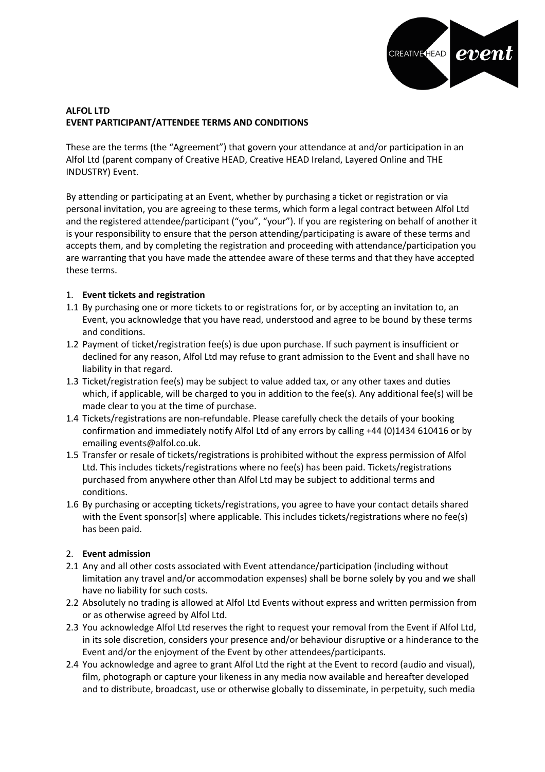

## **ALFOL LTD EVENT PARTICIPANT/ATTENDEE TERMS AND CONDITIONS**

These are the terms (the "Agreement") that govern your attendance at and/or participation in an Alfol Ltd (parent company of Creative HEAD, Creative HEAD Ireland, Layered Online and THE INDUSTRY) Event.

By attending or participating at an Event, whether by purchasing a ticket or registration or via personal invitation, you are agreeing to these terms, which form a legal contract between Alfol Ltd and the registered attendee/participant ("you", "your"). If you are registering on behalf of another it is your responsibility to ensure that the person attending/participating is aware of these terms and accepts them, and by completing the registration and proceeding with attendance/participation you are warranting that you have made the attendee aware of these terms and that they have accepted these terms.

### 1. **Event tickets and registration**

- 1.1 By purchasing one or more tickets to or registrations for, or by accepting an invitation to, an Event, you acknowledge that you have read, understood and agree to be bound by these terms and conditions.
- 1.2 Payment of ticket/registration fee(s) is due upon purchase. If such payment is insufficient or declined for any reason, Alfol Ltd may refuse to grant admission to the Event and shall have no liability in that regard.
- 1.3 Ticket/registration fee(s) may be subject to value added tax, or any other taxes and duties which, if applicable, will be charged to you in addition to the fee(s). Any additional fee(s) will be made clear to you at the time of purchase.
- 1.4 Tickets/registrations are non-refundable. Please carefully check the details of your booking confirmation and immediately notify Alfol Ltd of any errors by calling +44 (0)1434 610416 or by emailing events@alfol.co.uk.
- 1.5 Transfer or resale of tickets/registrations is prohibited without the express permission of Alfol Ltd. This includes tickets/registrations where no fee(s) has been paid. Tickets/registrations purchased from anywhere other than Alfol Ltd may be subject to additional terms and conditions.
- 1.6 By purchasing or accepting tickets/registrations, you agree to have your contact details shared with the Event sponsor[s] where applicable. This includes tickets/registrations where no fee(s) has been paid.

### 2. **Event admission**

- 2.1 Any and all other costs associated with Event attendance/participation (including without limitation any travel and/or accommodation expenses) shall be borne solely by you and we shall have no liability for such costs.
- 2.2 Absolutely no trading is allowed at Alfol Ltd Events without express and written permission from or as otherwise agreed by Alfol Ltd.
- 2.3 You acknowledge Alfol Ltd reserves the right to request your removal from the Event if Alfol Ltd, in its sole discretion, considers your presence and/or behaviour disruptive or a hinderance to the Event and/or the enjoyment of the Event by other attendees/participants.
- 2.4 You acknowledge and agree to grant Alfol Ltd the right at the Event to record (audio and visual), film, photograph or capture your likeness in any media now available and hereafter developed and to distribute, broadcast, use or otherwise globally to disseminate, in perpetuity, such media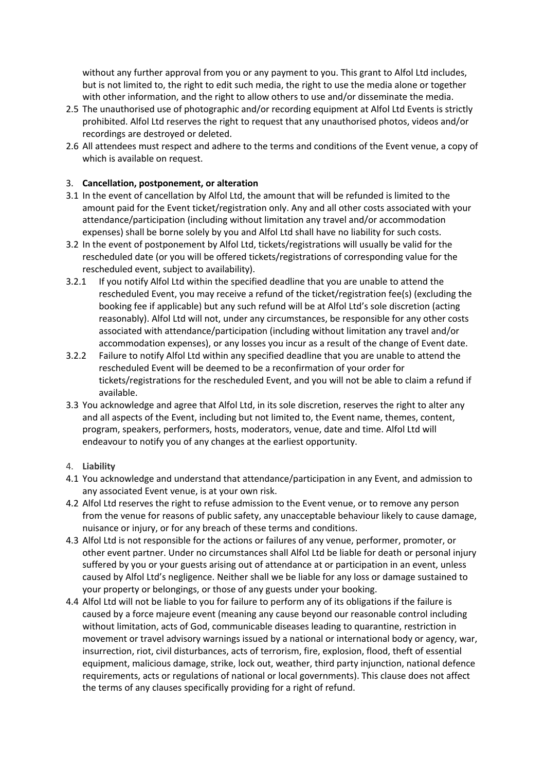without any further approval from you or any payment to you. This grant to Alfol Ltd includes, but is not limited to, the right to edit such media, the right to use the media alone or together with other information, and the right to allow others to use and/or disseminate the media.

- 2.5 The unauthorised use of photographic and/or recording equipment at Alfol Ltd Events is strictly prohibited. Alfol Ltd reserves the right to request that any unauthorised photos, videos and/or recordings are destroyed or deleted.
- 2.6 All attendees must respect and adhere to the terms and conditions of the Event venue, a copy of which is available on request.

### 3. **Cancellation, postponement, or alteration**

- 3.1 In the event of cancellation by Alfol Ltd, the amount that will be refunded is limited to the amount paid for the Event ticket/registration only. Any and all other costs associated with your attendance/participation (including without limitation any travel and/or accommodation expenses) shall be borne solely by you and Alfol Ltd shall have no liability for such costs.
- 3.2 In the event of postponement by Alfol Ltd, tickets/registrations will usually be valid for the rescheduled date (or you will be offered tickets/registrations of corresponding value for the rescheduled event, subject to availability).
- 3.2.1 If you notify Alfol Ltd within the specified deadline that you are unable to attend the rescheduled Event, you may receive a refund of the ticket/registration fee(s) (excluding the booking fee if applicable) but any such refund will be at Alfol Ltd's sole discretion (acting reasonably). Alfol Ltd will not, under any circumstances, be responsible for any other costs associated with attendance/participation (including without limitation any travel and/or accommodation expenses), or any losses you incur as a result of the change of Event date.
- 3.2.2 Failure to notify Alfol Ltd within any specified deadline that you are unable to attend the rescheduled Event will be deemed to be a reconfirmation of your order for tickets/registrations for the rescheduled Event, and you will not be able to claim a refund if available.
- 3.3 You acknowledge and agree that Alfol Ltd, in its sole discretion, reserves the right to alter any and all aspects of the Event, including but not limited to, the Event name, themes, content, program, speakers, performers, hosts, moderators, venue, date and time. Alfol Ltd will endeavour to notify you of any changes at the earliest opportunity.

#### 4. **Liability**

- 4.1 You acknowledge and understand that attendance/participation in any Event, and admission to any associated Event venue, is at your own risk.
- 4.2 Alfol Ltd reserves the right to refuse admission to the Event venue, or to remove any person from the venue for reasons of public safety, any unacceptable behaviour likely to cause damage, nuisance or injury, or for any breach of these terms and conditions.
- 4.3 Alfol Ltd is not responsible for the actions or failures of any venue, performer, promoter, or other event partner. Under no circumstances shall Alfol Ltd be liable for death or personal injury suffered by you or your guests arising out of attendance at or participation in an event, unless caused by Alfol Ltd's negligence. Neither shall we be liable for any loss or damage sustained to your property or belongings, or those of any guests under your booking.
- 4.4 Alfol Ltd will not be liable to you for failure to perform any of its obligations if the failure is caused by a force majeure event (meaning any cause beyond our reasonable control including without limitation, acts of God, communicable diseases leading to quarantine, restriction in movement or travel advisory warnings issued by a national or international body or agency, war, insurrection, riot, civil disturbances, acts of terrorism, fire, explosion, flood, theft of essential equipment, malicious damage, strike, lock out, weather, third party injunction, national defence requirements, acts or regulations of national or local governments). This clause does not affect the terms of any clauses specifically providing for a right of refund.